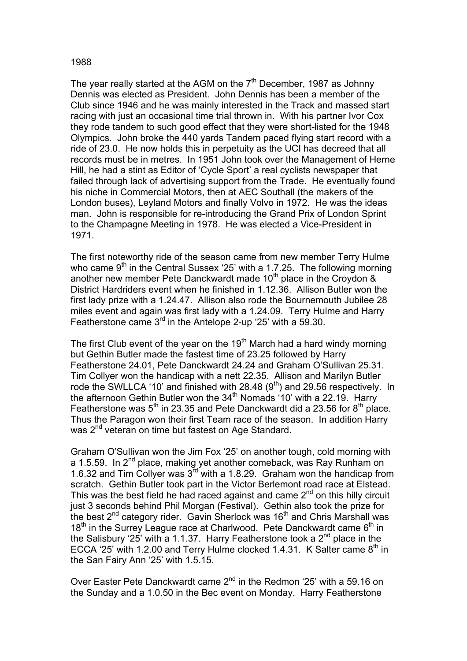## 1988

The year really started at the AGM on the  $7<sup>th</sup>$  December, 1987 as Johnny Dennis was elected as President. John Dennis has been a member of the Club since 1946 and he was mainly interested in the Track and massed start racing with just an occasional time trial thrown in. With his partner Ivor Cox they rode tandem to such good effect that they were short-listed for the 1948 Olympics. John broke the 440 yards Tandem paced flying start record with a ride of 23.0. He now holds this in perpetuity as the UCI has decreed that all records must be in metres. In 1951 John took over the Management of Herne Hill, he had a stint as Editor of 'Cycle Sport' a real cyclists newspaper that failed through lack of advertising support from the Trade. He eventually found his niche in Commercial Motors, then at AEC Southall (the makers of the London buses), Leyland Motors and finally Volvo in 1972. He was the ideas man. John is responsible for re-introducing the Grand Prix of London Sprint to the Champagne Meeting in 1978. He was elected a Vice-President in 1971.

The first noteworthy ride of the season came from new member Terry Hulme who came  $9<sup>th</sup>$  in the Central Sussex '25' with a 1.7.25. The following morning another new member Pete Danckwardt made 10<sup>th</sup> place in the Croydon  $\&$ District Hardriders event when he finished in 1.12.36. Allison Butler won the first lady prize with a 1.24.47. Allison also rode the Bournemouth Jubilee 28 miles event and again was first lady with a 1.24.09. Terry Hulme and Harry Featherstone came 3<sup>rd</sup> in the Antelope 2-up '25' with a 59.30.

The first Club event of the year on the 19<sup>th</sup> March had a hard windy morning but Gethin Butler made the fastest time of 23.25 followed by Harry Featherstone 24.01, Pete Danckwardt 24.24 and Graham O'Sullivan 25.31. Tim Collyer won the handicap with a nett 22.35. Allison and Marilyn Butler rode the SWLLCA '10' and finished with 28.48 (9<sup>th</sup>) and 29.56 respectively. In the afternoon Gethin Butler won the 34<sup>th</sup> Nomads '10' with a 22.19. Harry Featherstone was  $5<sup>th</sup>$  in 23.35 and Pete Danckwardt did a 23.56 for  $8<sup>th</sup>$  place. Thus the Paragon won their first Team race of the season. In addition Harry was 2<sup>nd</sup> veteran on time but fastest on Age Standard.

Graham O'Sullivan won the Jim Fox '25' on another tough, cold morning with a 1.5.59. In 2<sup>nd</sup> place, making yet another comeback, was Ray Runham on 1.6.32 and Tim Collyer was 3rd with a 1.8.29. Graham won the handicap from scratch. Gethin Butler took part in the Victor Berlemont road race at Elstead. This was the best field he had raced against and came  $2<sup>nd</sup>$  on this hilly circuit just 3 seconds behind Phil Morgan (Festival). Gethin also took the prize for the best  $2^{nd}$  category rider. Gavin Sherlock was 16<sup>th</sup> and Chris Marshall was 18<sup>th</sup> in the Surrey League race at Charlwood. Pete Danckwardt came 6<sup>th</sup> in the Salisbury '25' with a 1.1.37. Harry Featherstone took a  $2^{nd}$  place in the ECCA '25' with 1.2.00 and Terry Hulme clocked 1.4.31. K Salter came  $8<sup>th</sup>$  in the San Fairy Ann '25' with 1.5.15.

Over Easter Pete Danckwardt came 2<sup>nd</sup> in the Redmon '25' with a 59.16 on the Sunday and a 1.0.50 in the Bec event on Monday. Harry Featherstone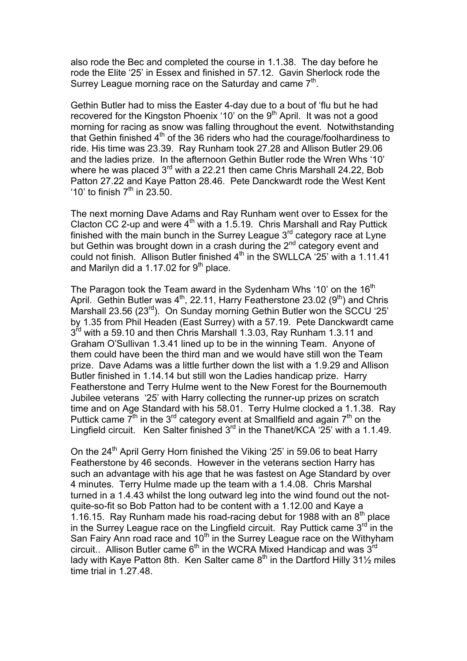also rode the Bec and completed the course in 1.1.38. The day before he rode the Elite '25' in Essex and finished in 57.12. Gavin Sherlock rode the Surrey League morning race on the Saturday and came  $7<sup>th</sup>$ .

Gethin Butler had to miss the Easter 4-day due to a bout of 'flu but he had recovered for the Kingston Phoenix '10' on the  $9<sup>th</sup>$  April. It was not a good morning for racing as snow was falling throughout the event. Notwithstanding that Gethin finished  $4<sup>th</sup>$  of the 36 riders who had the courage/foolhardiness to ride. His time was 23.39. Ray Runham took 27.28 and Allison Butler 29.06 and the ladies prize. In the afternoon Gethin Butler rode the Wren Whs '10' where he was placed 3<sup>rd</sup> with a 22.21 then came Chris Marshall 24.22, Bob Patton 27.22 and Kaye Patton 28.46. Pete Danckwardt rode the West Kent '10' to finish  $7<sup>th</sup>$  in 23.50.

The next morning Dave Adams and Ray Runham went over to Essex for the Clacton CC 2-up and were  $4<sup>th</sup>$  with a 1.5.19. Chris Marshall and Ray Puttick finished with the main bunch in the Surrey League  $3<sup>rd</sup>$  category race at Lyne but Gethin was brought down in a crash during the  $2^{nd}$  category event and could not finish. Allison Butler finished  $4<sup>th</sup>$  in the SWLLCA '25' with a 1.11.41 and Marilyn did a 1.17.02 for  $9<sup>th</sup>$  place.

The Paragon took the Team award in the Sydenham Whs '10' on the  $16<sup>th</sup>$ April. Gethin Butler was  $4^{\text{th}}$ , 22.11, Harry Featherstone 23.02 (9<sup>th</sup>) and Chris Marshall 23.56 (23<sup>rd</sup>). On Sunday morning Gethin Butler won the SCCU '25' by 1.35 from Phil Headen (East Surrey) with a 57.19. Pete Danckwardt came  $3<sup>rd</sup>$  with a 59.10 and then Chris Marshall 1.3.03, Ray Runham 1.3.11 and Graham O'Sullivan 1.3.41 lined up to be in the winning Team. Anyone of them could have been the third man and we would have still won the Team prize. Dave Adams was a little further down the list with a 1.9.29 and Allison Butler finished in 1.14.14 but still won the Ladies handicap prize. Harry Featherstone and Terry Hulme went to the New Forest for the Bournemouth Jubilee veterans '25' with Harry collecting the runner-up prizes on scratch time and on Age Standard with his 58.01. Terry Hulme clocked a 1.1.38. Ray Puttick came  $7<sup>th</sup>$  in the 3<sup>rd</sup> category event at Smallfield and again  $7<sup>th</sup>$  on the Lingfield circuit. Ken Salter finished  $3<sup>rd</sup>$  in the Thanet/KCA '25' with a 1.1.49.

On the  $24<sup>th</sup>$  April Gerry Horn finished the Viking '25' in 59.06 to beat Harry Featherstone by 46 seconds. However in the veterans section Harry has such an advantage with his age that he was fastest on Age Standard by over 4 minutes. Terry Hulme made up the team with a 1.4.08. Chris Marshal turned in a 1.4.43 whilst the long outward leg into the wind found out the notquite-so-fit so Bob Patton had to be content with a 1.12.00 and Kaye a 1.16.15. Ray Runham made his road-racing debut for 1988 with an  $8<sup>th</sup>$  place in the Surrey League race on the Lingfield circuit. Ray Puttick came  $3<sup>rd</sup>$  in the San Fairy Ann road race and 10<sup>th</sup> in the Surrey League race on the Withyham circuit.. Allison Butler came  $6<sup>th</sup>$  in the WCRA Mixed Handicap and was  $3<sup>rd</sup>$ lady with Kaye Patton 8th. Ken Salter came  $8<sup>th</sup>$  in the Dartford Hilly 31 $\frac{1}{2}$  miles time trial in 1.27.48.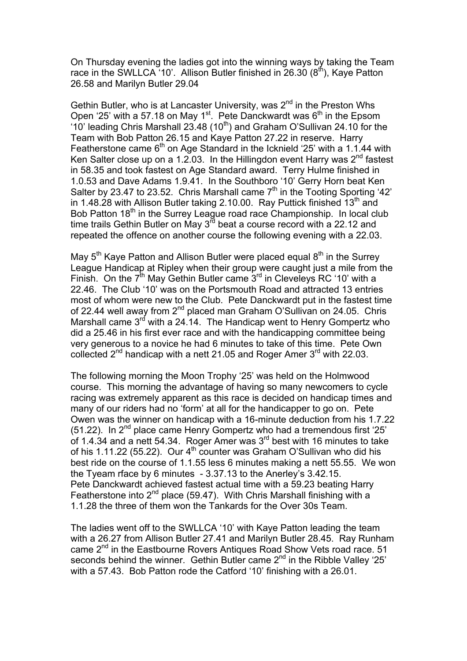On Thursday evening the ladies got into the winning ways by taking the Team race in the SWLLCA '10'. Allison Butler finished in 26.30  $(8<sup>th</sup>)$ , Kaye Patton 26.58 and Marilyn Butler 29.04

Gethin Butler, who is at Lancaster University, was  $2^{nd}$  in the Preston Whs Open '25' with a 57.18 on May 1<sup>st</sup>. Pete Danckwardt was 6<sup>th</sup> in the Epsom '10' leading Chris Marshall 23.48 (10<sup>th</sup>) and Graham O'Sullivan 24.10 for the Team with Bob Patton 26.15 and Kaye Patton 27.22 in reserve. Harry Featherstone came  $6<sup>th</sup>$  on Age Standard in the Icknield '25' with a 1.1.44 with Ken Salter close up on a 1.2.03. In the Hillingdon event Harry was  $2^{nd}$  fastest in 58.35 and took fastest on Age Standard award. Terry Hulme finished in 1.0.53 and Dave Adams 1.9.41. In the Southboro '10' Gerry Horn beat Ken Salter by 23.47 to 23.52. Chris Marshall came  $7<sup>th</sup>$  in the Tooting Sporting '42' in 1.48.28 with Allison Butler taking 2.10.00. Ray Puttick finished  $13<sup>th</sup>$  and Bob Patton 18<sup>th</sup> in the Surrey League road race Championship. In local club time trails Gethin Butler on May  $3^{rd}$  beat a course record with a 22.12 and repeated the offence on another course the following evening with a 22.03.

May  $5<sup>th</sup>$  Kaye Patton and Allison Butler were placed equal  $8<sup>th</sup>$  in the Surrey League Handicap at Ripley when their group were caught just a mile from the Finish. On the  $7<sup>th</sup>$  May Gethin Butler came  $3<sup>rd</sup>$  in Cleveleys RC '10' with a 22.46. The Club '10' was on the Portsmouth Road and attracted 13 entries most of whom were new to the Club. Pete Danckwardt put in the fastest time of 22.44 well away from 2<sup>nd</sup> placed man Graham O'Sullivan on 24.05. Chris Marshall came  $3^{rd}$  with a 24.14. The Handicap went to Henry Gompertz who did a 25.46 in his first ever race and with the handicapping committee being very generous to a novice he had 6 minutes to take of this time. Pete Own collected  $2^{nd}$  handicap with a nett 21.05 and Roger Amer  $3^{rd}$  with 22.03.

The following morning the Moon Trophy '25' was held on the Holmwood course. This morning the advantage of having so many newcomers to cycle racing was extremely apparent as this race is decided on handicap times and many of our riders had no 'form' at all for the handicapper to go on. Pete Owen was the winner on handicap with a 16-minute deduction from his 1.7.22 (51.22). In  $2^{nd}$  place came Henry Gompertz who had a tremendous first '25' of 1.4.34 and a nett 54.34. Roger Amer was 3<sup>rd</sup> best with 16 minutes to take of his 1.11.22 (55.22). Our  $4<sup>th</sup>$  counter was Graham O'Sullivan who did his best ride on the course of 1.1.55 less 6 minutes making a nett 55.55. We won the Tyeam rface by 6 minutes - 3.37.13 to the Anerley's 3.42.15. Pete Danckwardt achieved fastest actual time with a 59.23 beating Harry Featherstone into  $2^{nd}$  place (59.47). With Chris Marshall finishing with a 1.1.28 the three of them won the Tankards for the Over 30s Team.

The ladies went off to the SWLLCA '10' with Kaye Patton leading the team with a 26.27 from Allison Butler 27.41 and Marilyn Butler 28.45. Ray Runham came 2<sup>nd</sup> in the Eastbourne Rovers Antiques Road Show Vets road race. 51 seconds behind the winner. Gethin Butler came  $2^{nd}$  in the Ribble Valley '25' with a 57.43. Bob Patton rode the Catford '10' finishing with a 26.01.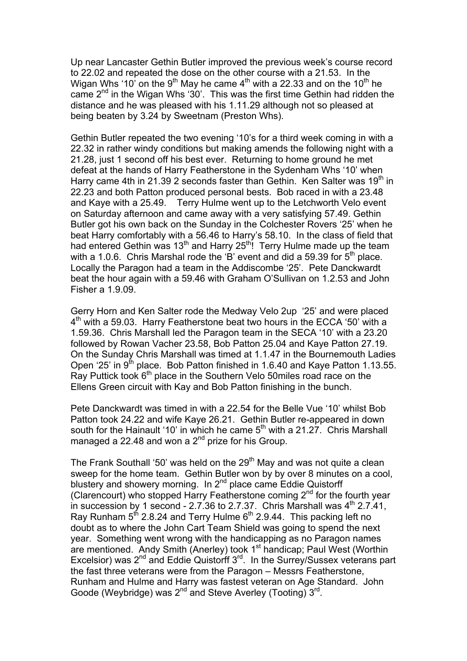Up near Lancaster Gethin Butler improved the previous week's course record to 22.02 and repeated the dose on the other course with a 21.53. In the Wigan Whs '10<sup>'</sup> on the 9<sup>th</sup> May he came 4<sup>th</sup> with a 22.33 and on the 10<sup>th</sup> he came  $2<sup>nd</sup>$  in the Wigan Whs '30'. This was the first time Gethin had ridden the distance and he was pleased with his 1.11.29 although not so pleased at being beaten by 3.24 by Sweetnam (Preston Whs).

Gethin Butler repeated the two evening '10's for a third week coming in with a 22.32 in rather windy conditions but making amends the following night with a 21.28, just 1 second off his best ever. Returning to home ground he met defeat at the hands of Harry Featherstone in the Sydenham Whs '10' when Harry came 4th in 21.39 2 seconds faster than Gethin. Ken Salter was  $19<sup>th</sup>$  in 22.23 and both Patton produced personal bests. Bob raced in with a 23.48 and Kaye with a 25.49. Terry Hulme went up to the Letchworth Velo event on Saturday afternoon and came away with a very satisfying 57.49. Gethin Butler got his own back on the Sunday in the Colchester Rovers '25' when he beat Harry comfortably with a 56.46 to Harry's 58.10. In the class of field that had entered Gethin was 13<sup>th</sup> and Harry 25<sup>th</sup>! Terry Hulme made up the team with a 1.0.6. Chris Marshal rode the 'B' event and did a 59.39 for  $5<sup>th</sup>$  place. Locally the Paragon had a team in the Addiscombe '25'. Pete Danckwardt beat the hour again with a 59.46 with Graham O'Sullivan on 1.2.53 and John Fisher a 1.9.09.

Gerry Horn and Ken Salter rode the Medway Velo 2up '25' and were placed 4<sup>th</sup> with a 59.03. Harry Featherstone beat two hours in the ECCA '50' with a 1.59.36. Chris Marshall led the Paragon team in the SECA '10' with a 23.20 followed by Rowan Vacher 23.58, Bob Patton 25.04 and Kaye Patton 27.19. On the Sunday Chris Marshall was timed at 1.1.47 in the Bournemouth Ladies Open '25' in  $9<sup>th</sup>$  place. Bob Patton finished in 1.6.40 and Kaye Patton 1.13.55. Ray Puttick took  $6<sup>th</sup>$  place in the Southern Velo 50miles road race on the Ellens Green circuit with Kay and Bob Patton finishing in the bunch.

Pete Danckwardt was timed in with a 22.54 for the Belle Vue '10' whilst Bob Patton took 24.22 and wife Kaye 26.21. Gethin Butler re-appeared in down south for the Hainault '10' in which he came  $5<sup>th</sup>$  with a 21.27. Chris Marshall managed a 22.48 and won a  $2^{nd}$  prize for his Group.

The Frank Southall '50' was held on the  $29<sup>th</sup>$  May and was not quite a clean sweep for the home team. Gethin Butler won by by over 8 minutes on a cool, blustery and showery morning. In 2<sup>nd</sup> place came Eddie Quistorff (Clarencourt) who stopped Harry Featherstone coming  $2<sup>nd</sup>$  for the fourth year in succession by 1 second - 2.7.36 to 2.7.37. Chris Marshall was  $4<sup>th</sup>$  2.7.41, Ray Runham  $5<sup>th</sup>$  2.8.24 and Terry Hulme  $6<sup>th</sup>$  2.9.44. This packing left no doubt as to where the John Cart Team Shield was going to spend the next year. Something went wrong with the handicapping as no Paragon names are mentioned. Andy Smith (Anerley) took 1<sup>st</sup> handicap; Paul West (Worthin Excelsior) was  $2^{nd}$  and Eddie Quistorff  $3^{rd}$ . In the Surrey/Sussex veterans part the fast three veterans were from the Paragon – Messrs Featherstone, Runham and Hulme and Harry was fastest veteran on Age Standard. John Goode (Weybridge) was  $2^{nd}$  and Steve Averley (Tooting)  $3^{rd}$ .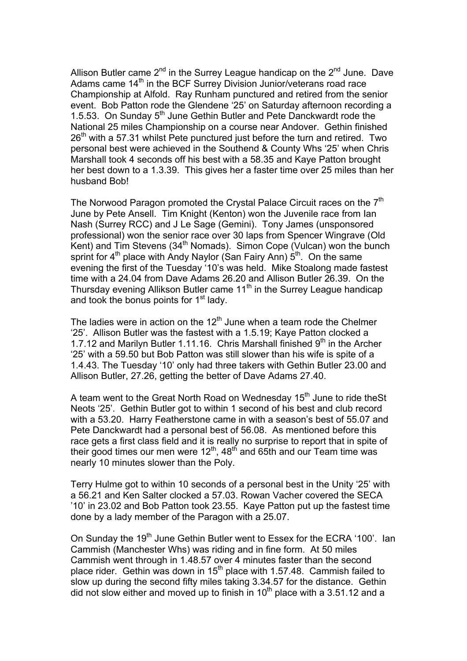Allison Butler came  $2^{nd}$  in the Surrey League handicap on the  $2^{nd}$  June. Dave Adams came 14<sup>th</sup> in the BCF Surrey Division Junior/veterans road race Championship at Alfold. Ray Runham punctured and retired from the senior event. Bob Patton rode the Glendene '25' on Saturday afternoon recording a 1.5.53. On Sunday  $5<sup>th</sup>$  June Gethin Butler and Pete Danckwardt rode the National 25 miles Championship on a course near Andover. Gethin finished  $26<sup>th</sup>$  with a 57.31 whilst Pete punctured just before the turn and retired. Two personal best were achieved in the Southend & County Whs '25' when Chris Marshall took 4 seconds off his best with a 58.35 and Kaye Patton brought her best down to a 1.3.39. This gives her a faster time over 25 miles than her husband Bob!

The Norwood Paragon promoted the Crystal Palace Circuit races on the 7<sup>th</sup> June by Pete Ansell. Tim Knight (Kenton) won the Juvenile race from Ian Nash (Surrey RCC) and J Le Sage (Gemini). Tony James (unsponsored professional) won the senior race over 30 laps from Spencer Wingrave (Old Kent) and Tim Stevens ( $34<sup>th</sup>$  Nomads). Simon Cope (Vulcan) won the bunch sprint for  $4<sup>th</sup>$  place with Andy Naylor (San Fairy Ann)  $5<sup>th</sup>$ . On the same evening the first of the Tuesday '10's was held. Mike Stoalong made fastest time with a 24.04 from Dave Adams 26.20 and Allison Butler 26.39. On the Thursday evening Allikson Butler came  $11<sup>th</sup>$  in the Surrey League handicap and took the bonus points for  $1<sup>st</sup>$  lady.

The ladies were in action on the  $12<sup>th</sup>$  June when a team rode the Chelmer '25'. Allison Butler was the fastest with a 1.5.19; Kaye Patton clocked a 1.7.12 and Marilyn Butler 1.11.16. Chris Marshall finished  $9<sup>th</sup>$  in the Archer '25' with a 59.50 but Bob Patton was still slower than his wife is spite of a 1.4.43. The Tuesday '10' only had three takers with Gethin Butler 23.00 and Allison Butler, 27.26, getting the better of Dave Adams 27.40.

A team went to the Great North Road on Wednesday  $15<sup>th</sup>$  June to ride the St Neots '25'. Gethin Butler got to within 1 second of his best and club record with a 53.20. Harry Featherstone came in with a season's best of 55.07 and Pete Danckwardt had a personal best of 56.08. As mentioned before this race gets a first class field and it is really no surprise to report that in spite of their good times our men were  $12<sup>th</sup>$ , 48<sup>th</sup> and 65th and our Team time was nearly 10 minutes slower than the Poly.

Terry Hulme got to within 10 seconds of a personal best in the Unity '25' with a 56.21 and Ken Salter clocked a 57.03. Rowan Vacher covered the SECA '10' in 23.02 and Bob Patton took 23.55. Kaye Patton put up the fastest time done by a lady member of the Paragon with a 25.07.

On Sunday the 19<sup>th</sup> June Gethin Butler went to Essex for the ECRA '100'. Ian Cammish (Manchester Whs) was riding and in fine form. At 50 miles Cammish went through in 1.48.57 over 4 minutes faster than the second place rider. Gethin was down in  $15<sup>th</sup>$  place with 1.57.48. Cammish failed to slow up during the second fifty miles taking 3.34.57 for the distance. Gethin did not slow either and moved up to finish in  $10<sup>th</sup>$  place with a 3.51.12 and a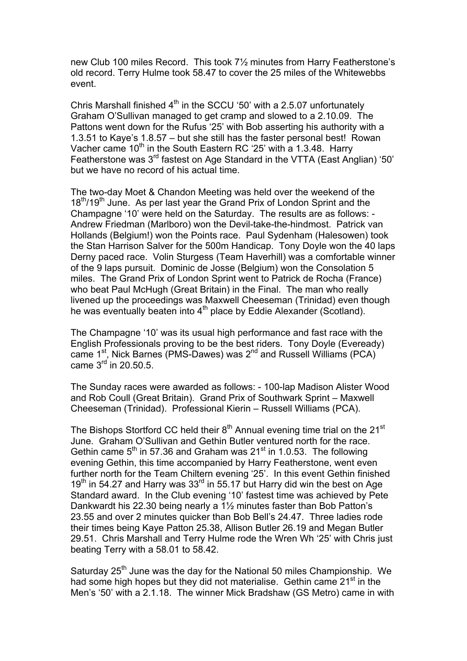new Club 100 miles Record. This took 7½ minutes from Harry Featherstone's old record. Terry Hulme took 58.47 to cover the 25 miles of the Whitewebbs event.

Chris Marshall finished  $4<sup>th</sup>$  in the SCCU '50' with a 2.5.07 unfortunately Graham O'Sullivan managed to get cramp and slowed to a 2.10.09. The Pattons went down for the Rufus '25' with Bob asserting his authority with a 1.3.51 to Kaye's 1.8.57 – but she still has the faster personal best! Rowan Vacher came  $10<sup>th</sup>$  in the South Eastern RC '25' with a 1.3.48. Harry Featherstone was 3<sup>rd</sup> fastest on Age Standard in the VTTA (East Anglian) '50' but we have no record of his actual time.

The two-day Moet & Chandon Meeting was held over the weekend of the 18<sup>th</sup>/19<sup>th</sup> June. As per last year the Grand Prix of London Sprint and the Champagne '10' were held on the Saturday. The results are as follows: - Andrew Friedman (Marlboro) won the Devil-take-the-hindmost. Patrick van Hollands (Belgium!) won the Points race. Paul Sydenham (Halesowen) took the Stan Harrison Salver for the 500m Handicap. Tony Doyle won the 40 laps Derny paced race. Volin Sturgess (Team Haverhill) was a comfortable winner of the 9 laps pursuit. Dominic de Josse (Belgium) won the Consolation 5 miles. The Grand Prix of London Sprint went to Patrick de Rocha (France) who beat Paul McHugh (Great Britain) in the Final. The man who really livened up the proceedings was Maxwell Cheeseman (Trinidad) even though he was eventually beaten into 4<sup>th</sup> place by Eddie Alexander (Scotland).

The Champagne '10' was its usual high performance and fast race with the English Professionals proving to be the best riders. Tony Doyle (Eveready) came 1st, Nick Barnes (PMS-Dawes) was 2nd and Russell Williams (PCA) came  $3<sup>rd</sup>$  in 20.50.5.

The Sunday races were awarded as follows: - 100-lap Madison Alister Wood and Rob Coull (Great Britain). Grand Prix of Southwark Sprint – Maxwell Cheeseman (Trinidad). Professional Kierin – Russell Williams (PCA).

The Bishops Stortford CC held their  $8<sup>th</sup>$  Annual evening time trial on the 21<sup>st</sup> June. Graham O'Sullivan and Gethin Butler ventured north for the race. Gethin came  $5<sup>th</sup>$  in 57.36 and Graham was 21 $<sup>st</sup>$  in 1.0.53. The following</sup> evening Gethin, this time accompanied by Harry Featherstone, went even further north for the Team Chiltern evening '25'. In this event Gethin finished 19<sup>th</sup> in 54.27 and Harry was 33<sup>rd</sup> in 55.17 but Harry did win the best on Age Standard award. In the Club evening '10' fastest time was achieved by Pete Dankwardt his 22.30 being nearly a 1½ minutes faster than Bob Patton's 23.55 and over 2 minutes quicker than Bob Bell's 24.47. Three ladies rode their times being Kaye Patton 25.38, Allison Butler 26.19 and Megan Butler 29.51. Chris Marshall and Terry Hulme rode the Wren Wh '25' with Chris just beating Terry with a 58.01 to 58.42.

Saturday  $25<sup>th</sup>$  June was the day for the National 50 miles Championship. We had some high hopes but they did not materialise. Gethin came 21<sup>st</sup> in the Men's '50' with a 2.1.18. The winner Mick Bradshaw (GS Metro) came in with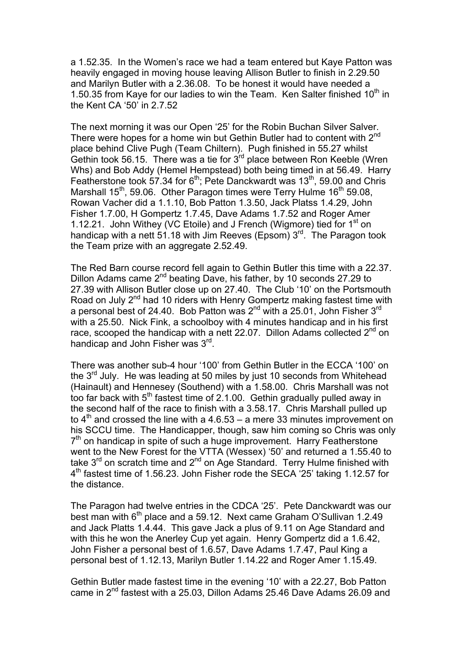a 1.52.35. In the Women's race we had a team entered but Kaye Patton was heavily engaged in moving house leaving Allison Butler to finish in 2.29.50 and Marilyn Butler with a 2.36.08. To be honest it would have needed a 1.50.35 from Kaye for our ladies to win the Team. Ken Salter finished  $10<sup>th</sup>$  in the Kent CA '50' in 2.7.52

The next morning it was our Open '25' for the Robin Buchan Silver Salver. There were hopes for a home win but Gethin Butler had to content with 2<sup>nd</sup> place behind Clive Pugh (Team Chiltern). Pugh finished in 55.27 whilst Gethin took 56.15. There was a tie for  $3^{rd}$  place between Ron Keeble (Wren Whs) and Bob Addy (Hemel Hempstead) both being timed in at 56.49. Harry Featherstone took 57.34 for 6<sup>th</sup>; Pete Danckwardt was 13<sup>th</sup>, 59.00 and Chris Marshall 15<sup>th</sup>, 59.06. Other Paragon times were Terry Hulme 16<sup>th</sup> 59.08, Rowan Vacher did a 1.1.10, Bob Patton 1.3.50, Jack Platss 1.4.29, John Fisher 1.7.00, H Gompertz 1.7.45, Dave Adams 1.7.52 and Roger Amer 1.12.21. John Withey (VC Etoile) and J French (Wigmore) tied for  $1<sup>st</sup>$  on handicap with a nett 51.18 with Jim Reeves (Epsom)  $3<sup>rd</sup>$ . The Paragon took the Team prize with an aggregate 2.52.49.

The Red Barn course record fell again to Gethin Butler this time with a 22.37. Dillon Adams came  $2^{nd}$  beating Dave, his father, by 10 seconds 27.29 to 27.39 with Allison Butler close up on 27.40. The Club '10' on the Portsmouth Road on July 2<sup>nd</sup> had 10 riders with Henry Gompertz making fastest time with a personal best of 24.40. Bob Patton was  $2^{nd}$  with a 25.01, John Fisher  $3^{rd}$ with a 25.50. Nick Fink, a schoolboy with 4 minutes handicap and in his first race, scooped the handicap with a nett 22.07. Dillon Adams collected  $2^{nd}$  on handicap and John Fisher was 3<sup>rd</sup>.

There was another sub-4 hour '100' from Gethin Butler in the ECCA '100' on the  $3<sup>rd</sup>$  July. He was leading at 50 miles by just 10 seconds from Whitehead (Hainault) and Hennesey (Southend) with a 1.58.00. Chris Marshall was not too far back with  $5<sup>th</sup>$  fastest time of 2.1.00. Gethin gradually pulled away in the second half of the race to finish with a 3.58.17. Chris Marshall pulled up to  $4<sup>th</sup>$  and crossed the line with a 4.6.53 – a mere 33 minutes improvement on his SCCU time. The Handicapper, though, saw him coming so Chris was only  $7<sup>th</sup>$  on handicap in spite of such a huge improvement. Harry Featherstone went to the New Forest for the VTTA (Wessex) '50' and returned a 1.55.40 to take  $3^{rd}$  on scratch time and  $2^{nd}$  on Age Standard. Terry Hulme finished with 4<sup>th</sup> fastest time of 1.56.23. John Fisher rode the SECA '25' taking 1.12.57 for the distance.

The Paragon had twelve entries in the CDCA '25'. Pete Danckwardt was our best man with 6<sup>th</sup> place and a 59.12. Next came Graham O'Sullivan 1.2.49 and Jack Platts 1.4.44. This gave Jack a plus of 9.11 on Age Standard and with this he won the Anerley Cup yet again. Henry Gompertz did a 1.6.42, John Fisher a personal best of 1.6.57, Dave Adams 1.7.47, Paul King a personal best of 1.12.13, Marilyn Butler 1.14.22 and Roger Amer 1.15.49.

Gethin Butler made fastest time in the evening '10' with a 22.27, Bob Patton came in 2<sup>nd</sup> fastest with a 25.03, Dillon Adams 25.46 Dave Adams 26.09 and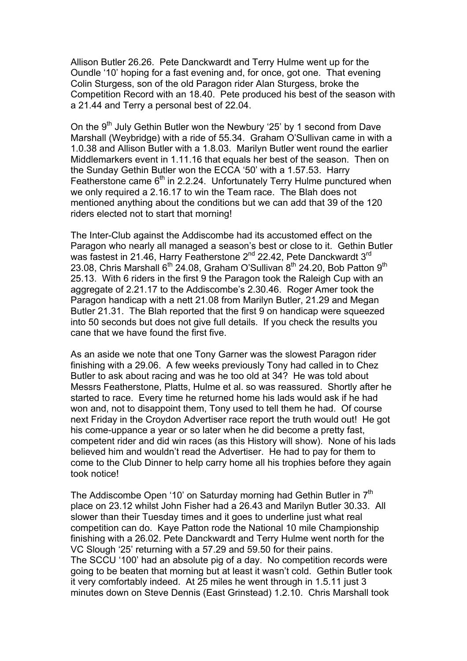Allison Butler 26.26. Pete Danckwardt and Terry Hulme went up for the Oundle '10' hoping for a fast evening and, for once, got one. That evening Colin Sturgess, son of the old Paragon rider Alan Sturgess, broke the Competition Record with an 18.40. Pete produced his best of the season with a 21.44 and Terry a personal best of 22.04.

On the 9<sup>th</sup> July Gethin Butler won the Newbury '25' by 1 second from Dave Marshall (Weybridge) with a ride of 55.34. Graham O'Sullivan came in with a 1.0.38 and Allison Butler with a 1.8.03. Marilyn Butler went round the earlier Middlemarkers event in 1.11.16 that equals her best of the season. Then on the Sunday Gethin Butler won the ECCA '50' with a 1.57.53. Harry Featherstone came 6<sup>th</sup> in 2.2.24. Unfortunately Terry Hulme punctured when we only required a 2.16.17 to win the Team race. The Blah does not mentioned anything about the conditions but we can add that 39 of the 120 riders elected not to start that morning!

The Inter-Club against the Addiscombe had its accustomed effect on the Paragon who nearly all managed a season's best or close to it. Gethin Butler was fastest in 21.46, Harry Featherstone 2<sup>nd</sup> 22.42, Pete Danckwardt 3<sup>rd</sup> 23.08, Chris Marshall  $6<sup>th</sup>$  24.08, Graham O'Sullivan  $8<sup>th</sup>$  24.20, Bob Patton  $9<sup>th</sup>$ 25.13. With 6 riders in the first 9 the Paragon took the Raleigh Cup with an aggregate of 2.21.17 to the Addiscombe's 2.30.46. Roger Amer took the Paragon handicap with a nett 21.08 from Marilyn Butler, 21.29 and Megan Butler 21.31. The Blah reported that the first 9 on handicap were squeezed into 50 seconds but does not give full details. If you check the results you cane that we have found the first five.

As an aside we note that one Tony Garner was the slowest Paragon rider finishing with a 29.06. A few weeks previously Tony had called in to Chez Butler to ask about racing and was he too old at 34? He was told about Messrs Featherstone, Platts, Hulme et al. so was reassured. Shortly after he started to race. Every time he returned home his lads would ask if he had won and, not to disappoint them, Tony used to tell them he had. Of course next Friday in the Croydon Advertiser race report the truth would out! He got his come-uppance a year or so later when he did become a pretty fast, competent rider and did win races (as this History will show). None of his lads believed him and wouldn't read the Advertiser. He had to pay for them to come to the Club Dinner to help carry home all his trophies before they again took notice!

The Addiscombe Open '10' on Saturday morning had Gethin Butler in 7<sup>th</sup> place on 23.12 whilst John Fisher had a 26.43 and Marilyn Butler 30.33. All slower than their Tuesday times and it goes to underline just what real competition can do. Kaye Patton rode the National 10 mile Championship finishing with a 26.02. Pete Danckwardt and Terry Hulme went north for the VC Slough '25' returning with a 57.29 and 59.50 for their pains. The SCCU '100' had an absolute pig of a day. No competition records were going to be beaten that morning but at least it wasn't cold. Gethin Butler took it very comfortably indeed. At 25 miles he went through in 1.5.11 just 3 minutes down on Steve Dennis (East Grinstead) 1.2.10. Chris Marshall took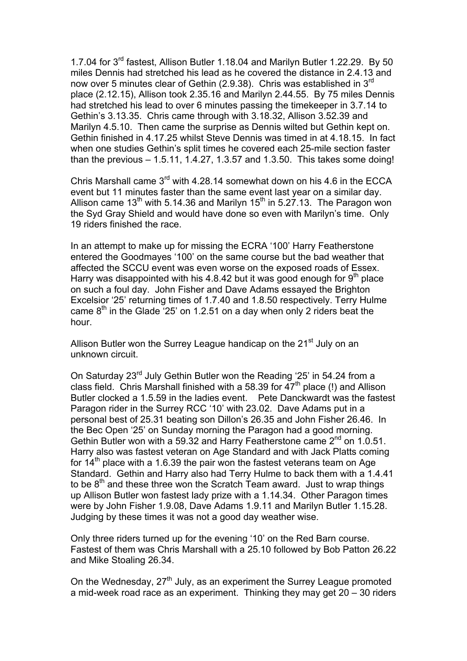1.7.04 for 3rd fastest, Allison Butler 1.18.04 and Marilyn Butler 1.22.29. By 50 miles Dennis had stretched his lead as he covered the distance in 2.4.13 and now over 5 minutes clear of Gethin (2.9.38). Chris was established in 3rd place (2.12.15), Allison took 2.35.16 and Marilyn 2.44.55. By 75 miles Dennis had stretched his lead to over 6 minutes passing the timekeeper in 3.7.14 to Gethin's 3.13.35. Chris came through with 3.18.32, Allison 3.52.39 and Marilyn 4.5.10. Then came the surprise as Dennis wilted but Gethin kept on. Gethin finished in 4.17.25 whilst Steve Dennis was timed in at 4.18.15. In fact when one studies Gethin's split times he covered each 25-mile section faster than the previous  $-1.5.11$ , 1.4.27, 1.3.57 and 1.3.50. This takes some doing!

Chris Marshall came  $3<sup>rd</sup>$  with 4.28.14 somewhat down on his 4.6 in the ECCA event but 11 minutes faster than the same event last year on a similar day. Allison came 13<sup>th</sup> with 5.14.36 and Marilyn 15<sup>th</sup> in 5.27.13. The Paragon won the Syd Gray Shield and would have done so even with Marilyn's time. Only 19 riders finished the race.

In an attempt to make up for missing the ECRA '100' Harry Featherstone entered the Goodmayes '100' on the same course but the bad weather that affected the SCCU event was even worse on the exposed roads of Essex. Harry was disappointed with his 4.8.42 but it was good enough for  $9<sup>th</sup>$  place on such a foul day. John Fisher and Dave Adams essayed the Brighton Excelsior '25' returning times of 1.7.40 and 1.8.50 respectively. Terry Hulme came  $8<sup>th</sup>$  in the Glade '25' on 1.2.51 on a day when only 2 riders beat the hour.

Allison Butler won the Surrey League handicap on the 21<sup>st</sup> July on an unknown circuit.

On Saturday 23rd July Gethin Butler won the Reading '25' in 54.24 from a class field. Chris Marshall finished with a 58.39 for  $47<sup>th</sup>$  place (!) and Allison Butler clocked a 1.5.59 in the ladies event. Pete Danckwardt was the fastest Paragon rider in the Surrey RCC '10' with 23.02. Dave Adams put in a personal best of 25.31 beating son Dillon's 26.35 and John Fisher 26.46. In the Bec Open '25' on Sunday morning the Paragon had a good morning. Gethin Butler won with a 59.32 and Harry Featherstone came  $2^{nd}$  on 1.0.51. Harry also was fastest veteran on Age Standard and with Jack Platts coming for  $14<sup>th</sup>$  place with a 1.6.39 the pair won the fastest veterans team on Age Standard. Gethin and Harry also had Terry Hulme to back them with a 1.4.41 to be  $8<sup>th</sup>$  and these three won the Scratch Team award. Just to wrap things up Allison Butler won fastest lady prize with a 1.14.34. Other Paragon times were by John Fisher 1.9.08, Dave Adams 1.9.11 and Marilyn Butler 1.15.28. Judging by these times it was not a good day weather wise.

Only three riders turned up for the evening '10' on the Red Barn course. Fastest of them was Chris Marshall with a 25.10 followed by Bob Patton 26.22 and Mike Stoaling 26.34.

On the Wednesday, 27<sup>th</sup> July, as an experiment the Surrey League promoted a mid-week road race as an experiment. Thinking they may get 20 – 30 riders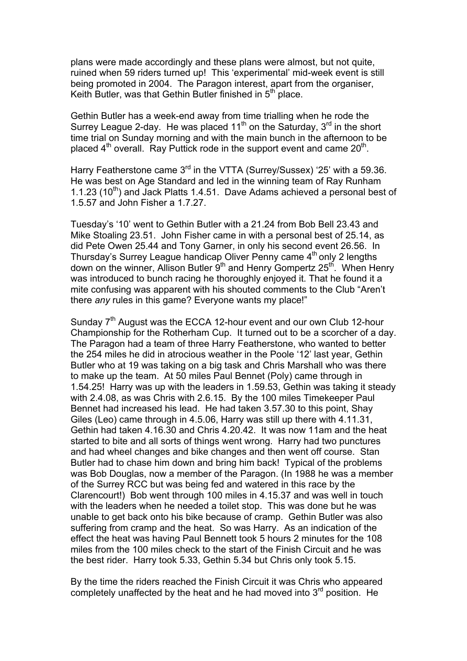plans were made accordingly and these plans were almost, but not quite, ruined when 59 riders turned up! This 'experimental' mid-week event is still being promoted in 2004. The Paragon interest, apart from the organiser, Keith Butler, was that Gethin Butler finished in  $5<sup>th</sup>$  place.

Gethin Butler has a week-end away from time trialling when he rode the Surrey League 2-day. He was placed 11<sup>th</sup> on the Saturday,  $3<sup>rd</sup>$  in the short time trial on Sunday morning and with the main bunch in the afternoon to be placed  $4<sup>th</sup>$  overall. Ray Puttick rode in the support event and came  $20<sup>th</sup>$ .

Harry Featherstone came 3<sup>rd</sup> in the VTTA (Surrey/Sussex) '25' with a 59.36. He was best on Age Standard and led in the winning team of Ray Runham 1.1.23 (10<sup>th</sup>) and Jack Platts 1.4.51. Dave Adams achieved a personal best of 1.5.57 and John Fisher a 1.7.27.

Tuesday's '10' went to Gethin Butler with a 21.24 from Bob Bell 23.43 and Mike Stoaling 23.51. John Fisher came in with a personal best of 25.14, as did Pete Owen 25.44 and Tony Garner, in only his second event 26.56. In Thursday's Surrey League handicap Oliver Penny came  $4<sup>th</sup>$  only 2 lengths down on the winner, Allison Butler  $9<sup>th</sup>$  and Henry Gompertz 25<sup>th</sup>. When Henry was introduced to bunch racing he thoroughly enjoyed it. That he found it a mite confusing was apparent with his shouted comments to the Club "Aren't there *any* rules in this game? Everyone wants my place!"

Sunday 7<sup>th</sup> August was the ECCA 12-hour event and our own Club 12-hour Championship for the Rotherham Cup. It turned out to be a scorcher of a day. The Paragon had a team of three Harry Featherstone, who wanted to better the 254 miles he did in atrocious weather in the Poole '12' last year, Gethin Butler who at 19 was taking on a big task and Chris Marshall who was there to make up the team. At 50 miles Paul Bennet (Poly) came through in 1.54.25! Harry was up with the leaders in 1.59.53, Gethin was taking it steady with 2.4.08, as was Chris with 2.6.15. By the 100 miles Timekeeper Paul Bennet had increased his lead. He had taken 3.57.30 to this point, Shay Giles (Leo) came through in 4.5.06, Harry was still up there with 4.11.31, Gethin had taken 4.16.30 and Chris 4.20.42. It was now 11am and the heat started to bite and all sorts of things went wrong. Harry had two punctures and had wheel changes and bike changes and then went off course. Stan Butler had to chase him down and bring him back! Typical of the problems was Bob Douglas, now a member of the Paragon. (In 1988 he was a member of the Surrey RCC but was being fed and watered in this race by the Clarencourt!) Bob went through 100 miles in 4.15.37 and was well in touch with the leaders when he needed a toilet stop. This was done but he was unable to get back onto his bike because of cramp. Gethin Butler was also suffering from cramp and the heat. So was Harry. As an indication of the effect the heat was having Paul Bennett took 5 hours 2 minutes for the 108 miles from the 100 miles check to the start of the Finish Circuit and he was the best rider. Harry took 5.33, Gethin 5.34 but Chris only took 5.15.

By the time the riders reached the Finish Circuit it was Chris who appeared completely unaffected by the heat and he had moved into  $3<sup>rd</sup>$  position. He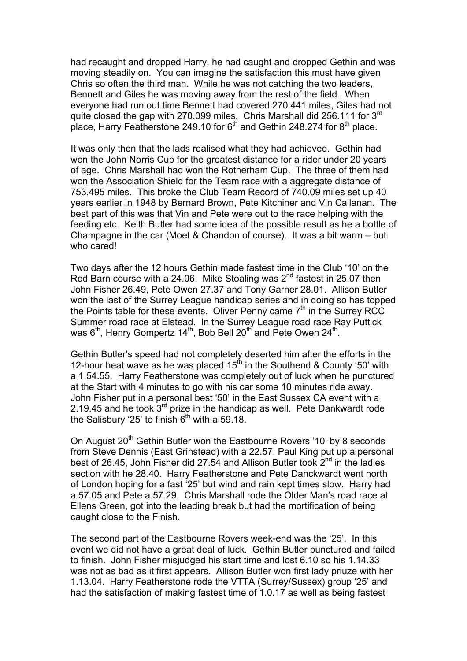had recaught and dropped Harry, he had caught and dropped Gethin and was moving steadily on. You can imagine the satisfaction this must have given Chris so often the third man. While he was not catching the two leaders, Bennett and Giles he was moving away from the rest of the field. When everyone had run out time Bennett had covered 270.441 miles, Giles had not quite closed the gap with 270.099 miles. Chris Marshall did 256.111 for 3rd place, Harry Featherstone 249.10 for  $6<sup>th</sup>$  and Gethin 248.274 for  $8<sup>th</sup>$  place.

It was only then that the lads realised what they had achieved. Gethin had won the John Norris Cup for the greatest distance for a rider under 20 years of age. Chris Marshall had won the Rotherham Cup. The three of them had won the Association Shield for the Team race with a aggregate distance of 753.495 miles. This broke the Club Team Record of 740.09 miles set up 40 years earlier in 1948 by Bernard Brown, Pete Kitchiner and Vin Callanan. The best part of this was that Vin and Pete were out to the race helping with the feeding etc. Keith Butler had some idea of the possible result as he a bottle of Champagne in the car (Moet & Chandon of course). It was a bit warm – but who cared!

Two days after the 12 hours Gethin made fastest time in the Club '10' on the Red Barn course with a 24.06. Mike Stoaling was  $2^{nd}$  fastest in 25.07 then John Fisher 26.49, Pete Owen 27.37 and Tony Garner 28.01. Allison Butler won the last of the Surrey League handicap series and in doing so has topped the Points table for these events. Oliver Penny came  $7<sup>th</sup>$  in the Surrey RCC Summer road race at Elstead. In the Surrey League road race Ray Puttick was 6<sup>th</sup>, Henry Gompertz 14<sup>th</sup>, Bob Bell 20<sup>th</sup> and Pete Owen 24<sup>th</sup>.

Gethin Butler's speed had not completely deserted him after the efforts in the 12-hour heat wave as he was placed  $15<sup>th</sup>$  in the Southend & County '50' with a 1.54.55. Harry Featherstone was completely out of luck when he punctured at the Start with 4 minutes to go with his car some 10 minutes ride away. John Fisher put in a personal best '50' in the East Sussex CA event with a 2.19.45 and he took  $3^{rd}$  prize in the handicap as well. Pete Dankwardt rode the Salisbury '25' to finish 6<sup>th</sup> with a 59.18.

On August 20<sup>th</sup> Gethin Butler won the Eastbourne Rovers '10' by 8 seconds from Steve Dennis (East Grinstead) with a 22.57. Paul King put up a personal best of 26.45, John Fisher did 27.54 and Allison Butler took  $2^{nd}$  in the ladies section with he 28.40. Harry Featherstone and Pete Danckwardt went north of London hoping for a fast '25' but wind and rain kept times slow. Harry had a 57.05 and Pete a 57.29. Chris Marshall rode the Older Man's road race at Ellens Green, got into the leading break but had the mortification of being caught close to the Finish.

The second part of the Eastbourne Rovers week-end was the '25'. In this event we did not have a great deal of luck. Gethin Butler punctured and failed to finish. John Fisher misjudged his start time and lost 6.10 so his 1.14.33 was not as bad as it first appears. Allison Butler won first lady priuze with her 1.13.04. Harry Featherstone rode the VTTA (Surrey/Sussex) group '25' and had the satisfaction of making fastest time of 1.0.17 as well as being fastest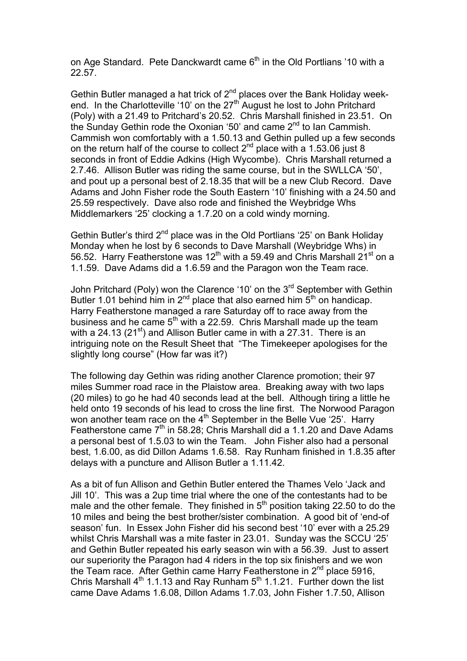on Age Standard. Pete Danckwardt came  $6<sup>th</sup>$  in the Old Portlians '10 with a 22.57.

Gethin Butler managed a hat trick of 2<sup>nd</sup> places over the Bank Holiday weekend. In the Charlotteville '10' on the  $27<sup>th</sup>$  August he lost to John Pritchard (Poly) with a 21.49 to Pritchard's 20.52. Chris Marshall finished in 23.51. On the Sunday Gethin rode the Oxonian '50' and came 2<sup>nd</sup> to Ian Cammish. Cammish won comfortably with a 1.50.13 and Gethin pulled up a few seconds on the return half of the course to collect  $2^{nd}$  place with a 1.53.06 just 8 seconds in front of Eddie Adkins (High Wycombe). Chris Marshall returned a 2.7.46. Allison Butler was riding the same course, but in the SWLLCA '50', and pout up a personal best of 2.18.35 that will be a new Club Record. Dave Adams and John Fisher rode the South Eastern '10' finishing with a 24.50 and 25.59 respectively. Dave also rode and finished the Weybridge Whs Middlemarkers '25' clocking a 1.7.20 on a cold windy morning.

Gethin Butler's third  $2^{nd}$  place was in the Old Portlians '25' on Bank Holiday Monday when he lost by 6 seconds to Dave Marshall (Weybridge Whs) in 56.52. Harry Featherstone was  $12<sup>th</sup>$  with a 59.49 and Chris Marshall 21<sup>st</sup> on a 1.1.59. Dave Adams did a 1.6.59 and the Paragon won the Team race.

John Pritchard (Poly) won the Clarence '10' on the 3<sup>rd</sup> September with Gethin Butler 1.01 behind him in  $2^{nd}$  place that also earned him  $5^{th}$  on handicap. Harry Featherstone managed a rare Saturday off to race away from the business and he came  $5<sup>th</sup>$  with a 22.59. Chris Marshall made up the team with a 24.13 (21 $\mathrm{st}$ ) and Allison Butler came in with a 27.31. There is an intriguing note on the Result Sheet that "The Timekeeper apologises for the slightly long course" (How far was it?)

The following day Gethin was riding another Clarence promotion; their 97 miles Summer road race in the Plaistow area. Breaking away with two laps (20 miles) to go he had 40 seconds lead at the bell. Although tiring a little he held onto 19 seconds of his lead to cross the line first. The Norwood Paragon won another team race on the  $4<sup>th</sup>$  September in the Belle Vue '25'. Harry Featherstone came  $7<sup>th</sup>$  in 58.28; Chris Marshall did a 1.1.20 and Dave Adams a personal best of 1.5.03 to win the Team. John Fisher also had a personal best, 1.6.00, as did Dillon Adams 1.6.58. Ray Runham finished in 1.8.35 after delays with a puncture and Allison Butler a 1.11.42.

As a bit of fun Allison and Gethin Butler entered the Thames Velo 'Jack and Jill 10'. This was a 2up time trial where the one of the contestants had to be male and the other female. They finished in  $5<sup>th</sup>$  position taking 22.50 to do the 10 miles and being the best brother/sister combination. A good bit of 'end-of season' fun. In Essex John Fisher did his second best '10' ever with a 25.29 whilst Chris Marshall was a mite faster in 23.01. Sunday was the SCCU '25' and Gethin Butler repeated his early season win with a 56.39. Just to assert our superiority the Paragon had 4 riders in the top six finishers and we won the Team race. After Gethin came Harry Featherstone in 2<sup>nd</sup> place 5916, Chris Marshall  $4^{th}$  1.1.13 and Ray Runham  $5^{th}$  1.1.21. Further down the list came Dave Adams 1.6.08, Dillon Adams 1.7.03, John Fisher 1.7.50, Allison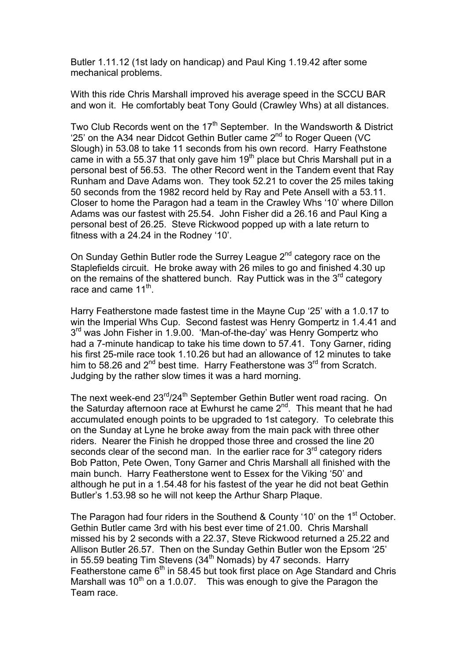Butler 1.11.12 (1st lady on handicap) and Paul King 1.19.42 after some mechanical problems.

With this ride Chris Marshall improved his average speed in the SCCU BAR and won it. He comfortably beat Tony Gould (Crawley Whs) at all distances.

Two Club Records went on the  $17<sup>th</sup>$  September. In the Wandsworth & District '25' on the A34 near Didcot Gethin Butler came 2nd to Roger Queen (VC Slough) in 53.08 to take 11 seconds from his own record. Harry Feathstone came in with a 55.37 that only gave him 19<sup>th</sup> place but Chris Marshall put in a personal best of 56.53. The other Record went in the Tandem event that Ray Runham and Dave Adams won. They took 52.21 to cover the 25 miles taking 50 seconds from the 1982 record held by Ray and Pete Ansell with a 53.11. Closer to home the Paragon had a team in the Crawley Whs '10' where Dillon Adams was our fastest with 25.54. John Fisher did a 26.16 and Paul King a personal best of 26.25. Steve Rickwood popped up with a late return to fitness with a 24.24 in the Rodney '10'.

On Sunday Gethin Butler rode the Surrey League 2<sup>nd</sup> category race on the Staplefields circuit. He broke away with 26 miles to go and finished 4.30 up on the remains of the shattered bunch. Ray Puttick was in the  $3<sup>rd</sup>$  category race and came 11<sup>th</sup>.

Harry Featherstone made fastest time in the Mayne Cup '25' with a 1.0.17 to win the Imperial Whs Cup. Second fastest was Henry Gompertz in 1.4.41 and 3<sup>rd</sup> was John Fisher in 1.9.00. 'Man-of-the-day' was Henry Gompertz who had a 7-minute handicap to take his time down to 57.41. Tony Garner, riding his first 25-mile race took 1.10.26 but had an allowance of 12 minutes to take him to 58.26 and  $2^{nd}$  best time. Harry Featherstone was  $3^{rd}$  from Scratch. Judging by the rather slow times it was a hard morning.

The next week-end 23<sup>rd</sup>/24<sup>th</sup> September Gethin Butler went road racing. On the Saturday afternoon race at Ewhurst he came 2<sup>nd</sup>. This meant that he had accumulated enough points to be upgraded to 1st category. To celebrate this on the Sunday at Lyne he broke away from the main pack with three other riders. Nearer the Finish he dropped those three and crossed the line 20 seconds clear of the second man. In the earlier race for 3<sup>rd</sup> category riders Bob Patton, Pete Owen, Tony Garner and Chris Marshall all finished with the main bunch. Harry Featherstone went to Essex for the Viking '50' and although he put in a 1.54.48 for his fastest of the year he did not beat Gethin Butler's 1.53.98 so he will not keep the Arthur Sharp Plaque.

The Paragon had four riders in the Southend & County '10' on the 1<sup>st</sup> October. Gethin Butler came 3rd with his best ever time of 21.00. Chris Marshall missed his by 2 seconds with a 22.37, Steve Rickwood returned a 25.22 and Allison Butler 26.57. Then on the Sunday Gethin Butler won the Epsom '25' in 55.59 beating Tim Stevens (34<sup>th</sup> Nomads) by 47 seconds. Harry Featherstone came  $6<sup>th</sup>$  in 58.45 but took first place on Age Standard and Chris Marshall was 10<sup>th</sup> on a 1.0.07. This was enough to give the Paragon the Team race.